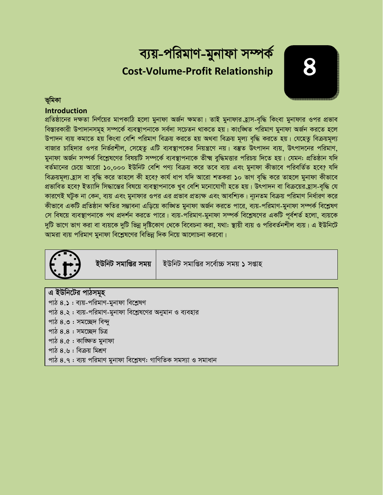# ব্যয়-পরিমাণ-মুনাফা সম্পর্ক **Cost-Volume-Profit Relationship**

### ভূমিকা

### **Introduction**

প্রতিষ্ঠানের দক্ষতা নির্ণয়ের মাপকাঠি হলো মুনাফা অর্জন ক্ষমতা। তাই মুনাফার হ্রাস-বৃদ্ধি কিংবা মুনাফার ওপর প্রভাব বিস্তারকারী উপাদানসমূহ সম্পর্কে ব্যবস্থাপনাকে সর্বদা সচেতন থাকতে হয়। কাংজ্ঞিত পরিমাণ মুনাফা অর্জন করতে হলে উপাদন ব্যয় কমাতে হয় কিংবা বেশি পরিমাণ বিক্রয় করতে হয় অথবা বিক্রয় মূল্য বৃদ্ধি করতে হয়। যেহেতু বিক্রয়মূল্য বাজার চাহিদার ওপর নির্ভরশীল, সেহেতু এটি ব্যবস্থাপকের নিয়ন্ত্রণে নয়। বস্তুত উৎপাদন ব্যয়, উৎপাদনের পরিমাণ, মুনাফা অর্জন সম্পর্ক বিশ্লেষণের বিষয়টি সম্পর্কে ব্যবস্থাপনাকে তীক্ষ্ম বুদ্ধিমত্তার পরিচয় দিতে হয়। যেমন: প্রতিষ্ঠান যদি বর্তমানের চেয়ে আরো ১০,০০০ ইউনিট বেশি পণ্য বিক্রয় করে তবে ব্যয় এবং মুনাফা কীভাবে পরিবর্তিত হবে? যদি বিক্রয়মূল্য হ্রাস বা বৃদ্ধি করে তাহলে কী হবে? কার্য ধাপ যদি আরো শতকরা ১০ ভাগ বৃদ্ধি করে তাহলে মুনাফা কীভাবে প্রভাবিত হবে? ইত্যাদি সিদ্ধান্তের বিষয়ে ব্যবস্থাপনাকে খুব বেশি মনোযোগী হতে হয়। উৎপাদন বা বিক্রয়ের হ্রাস-বৃদ্ধি যে কারণেই ঘটুক না কেন, ব্যয় এবং মুনাফার ওপর এর প্রভাব প্রত্যক্ষ এবং আবশ্যিক। ন্যূনতম বিক্রয় পরিমাণ নির্ধারণ করে কীভাবে একটি প্রতিষ্ঠান ক্ষতির সম্ভাবনা এড়িয়ে কাঙ্খিত মুনাফা অর্জন করতে পারে, ব্যয়-পরিমাণ-মুনাফা সম্পর্ক বিশ্লেষণ সে বিষয়ে ব্যবস্থাপনাকে পথ প্রদর্শন করতে পারে। ব্যয়-পরিমাণ-মুনাফা সম্পর্ক বিশ্লেষণের একটি পূর্বশর্ত হলো, ব্যয়কে দুটি ভাগে ভাগ করা বা ব্যয়কে দুটি ভিন্ন দষ্টিকোণ থেকে বিবেচনা করা, যথা: স্থায়ী ব্যয় ও পরিবর্তনশীল ব্যয়। এ ইউনিটে আমরা ব্যয় পরিমাণ মুনাফা বিশ্লেষণের বিভিন্ন দিক নিয়ে আলোচনা করবো।



ইউনিট সমাপ্তির সময়

ইউনিট সমাপ্তির সর্বোচ্চ সময় ১ সপ্তাহ

এ ইউনিটের পাঠসমূহ পাঠ ৪.১ : ব্যয়-পরিমাণ-মুনাফা বিশ্লেষণ পাঠ ৪.২ : ব্যয়-পরিমাণ-মুনাফা বিশ্লেষণের অনুমান ও ব্যবহার পাঠ ৪.৩ : সমচ্ছেদ বিন্দু পাঠ  $8.8:$  সমচ্ছেদ চিত্ৰ পাঠ ৪.৫: কাজ্ঞিত মনাফা পাঠ ৪.৬ : বিক্রয় মিশ্রণ পাঠ ৪.৭ : ব্যয় পরিমাণ মুনাফা বিশ্লেষণ: গাণিতিক সমস্যা ও সমাধান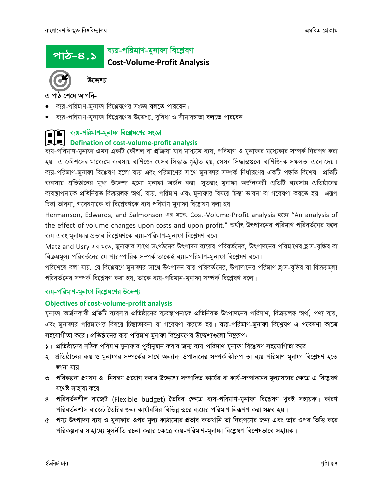#### ব্যয়-পরিমাণ-মুনাফা বিশ্লেষণ <u>পাঠ-৪.১</u> **Cost-Volume-Profit Analysis**



উদ্দেশ্য

এ পাঠ শেষে আপনি-

- ব্যয়-পরিমাণ-মুনাফা বিশ্লেষণের সংজ্ঞা বলতে পারবেন।
- ব্যয়-পরিমাণ-মূনাফা বিশ্লেষণের উদ্দেশ্য, সুবিধা ও সীমাবদ্ধতা বলতে পারবেন।



### ব্যয়-পরিমাণ-মুনাফা বিশ্লেষণের সংজ্ঞা

### Defination of cost-volume-profit analysis

ব্যয়-পরিমাণ-মুনাফা এমন একটি কৌশল বা প্রক্রিয়া যার মাধ্যমে ব্যয়, পরিমাণ ও মুনাফার মধ্যেকার সম্পর্ক নিরূপণ করা হয়। এ কৌশলের মাধ্যেমে ব্যবসায় বাণিজ্যে যেসব সিদ্ধান্ত গৃহীত হয়, সেসব সিদ্ধান্তগুলো বাণিজ্যিক সফলতা এনে দেয়। ব্যয়-পরিমাণ-মুনাফা বিশ্লেষণ হলো ব্যয় এবং পরিমাণের সাথে মুনাফার সম্পর্ক নির্ধারণের একটি পদ্ধতি বিশেষ। প্রতিটি ব্যবসায় প্রতিষ্ঠানের মুখ্য উদ্দেশ্য হলো মুনাফা অর্জন করা। সুতরাং মুনাফা অর্জনকারী প্রতিটি ব্যবসায় প্রতিষ্ঠানের ব্যবস্থাপনাকে প্রতিনিয়ত বিক্রয়লব্ধ অর্থ, ব্যয়, পরিমাণ এবং মুনাফার বিষয়ে চিন্তা ভাবনা বা গবেষণা করতে হয়। এরূপ চিন্তা ভাবনা, গবেষণাকে বা বিশ্লেষণকে ব্যয় পরিমাণ মুনাফা বিশ্লেষণ বলা হয়।

Hermanson, Edwards, and Salmonson এর মতে, Cost-Volume-Profit analysis হচ্ছে "An analysis of the effect of volume changes upon costs and upon profit." অৰ্থাৎ উৎপাদনের পরিমাণ পরিবর্তনের ফলে ব্যয় এবং মুনাফার প্রভাব বিশ্লেষণকে ব্যয়-পরিমাণ-মুনাফা বিশ্লেষণ বলে।

Matz and Usry এর মতে, মুনাফার সাথে সংগঠনের উৎপাদন ব্যয়ের পরিবর্তনের, উৎপাদনের পরিমাণের হ্রাস-বৃদ্ধির বা বিক্রয়মূল্য পরিবর্তনের যে পারস্পারিক সম্পর্ক তাকেই ব্যয়-পরিমাণ-মুনাফা বিশ্লেষণ বলে।

পরিশেষে বলা যায়, যে বিশ্লেষণে মুনাফার সাথে উৎপাদন ব্যয় পরিবর্তনের, উপাদানের পরিমাণ হ্রাস-বৃদ্ধির বা বিক্রয়মূল্য পরিবর্তনের সম্পর্ক বিশ্লেষণ করা হয়, তাকে ব্যয়-পরিমান-মুনাফা সম্পর্ক বিশ্লেষণ বলে।

### ব্যয়-পরিমাণ-মুনাফা বিশ্লেষণের উদ্দেশ্য

### **Objectives of cost-volume-profit analysis**

মুনাফা অর্জনকারী প্রতিটি ব্যবসায় প্রতিষ্ঠানের ব্যবস্থাপনাকে প্রতিনিয়ত উৎপাদনের পরিমাণ, বিক্রয়লব্ধ অর্থ, পণ্য ব্যয়, এবং মুনাফার পরিমাণের বিষয়ে চিন্তাভাবনা বা গবেষণা করতে হয়। ব্যয়-পরিমাণ-মুনাফা বিশ্লেষণ এ গবেষণা কাজে সহযোগীতা করে। প্রতিষ্ঠানের ব্যয় পরিমাণ মুনাফা বিশ্লেষণের উদ্দেশ্যগুলো নিমুরূপ:

- ১। প্রতিষ্ঠানের সঠিক পরিমাণ মুনাফার পূর্বানুমান করার জন্য ব্যয়-পরিমাণ-মুনাফা বিশ্লেষণ সহযোগিতা করে।
- ২। প্রতিষ্ঠানের ব্যয় ও মুনাফার সম্পর্কের সাথে অন্যান্য উপাদানের সম্পর্ক কীরূপ তা ব্যয় পরিমাণ মুনাফা বিশ্লেষণ হতে জানা যায়।
- ৩। পরিকল্পনা প্রণয়ন ও নিয়ন্ত্রণ প্রয়োগ করার উদ্দেশ্যে সম্পাদিত কার্যের বা কার্য-সম্পাদনের মূল্যায়নের ক্ষেত্রে এ বিশ্লেষণ যথেষ্ট সাহায্য করে।
- ৪। পরিবর্তনশীল বাজেট (Flexible budget) তৈরির ক্ষেত্রে ব্যয়-পরিমাণ-মুনাফা বিশ্লেষণ খুবই সহায়ক। কারণ পরিবর্তনশীল বাজেট তৈরির জন্য কার্যাবলির বিভিন্ন স্তরে ব্যয়ের পরিমাণ নিরূপণ করা সম্ভব হয়।
- ৫। পণ্য উৎপাদন ব্যয় ও মুনাফার ওপর মূল্য কাঠামোর প্রভাব কতখানি তা নিরূপণের জন্য এবং তার ওপর ভিত্তি করে পরিকল্পনার সাহায্যে মূলনীতি রচনা করার ক্ষেত্রে ব্যয়-পরিমাণ-মুনাফা বিশ্লেষণ বিশেষভাবে সহায়ক।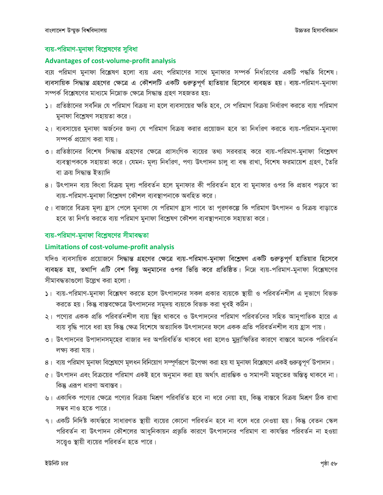### ব্যয়-পরিমাণ-মুনাফা বিশ্লেষণের সুবিধা

#### **Advantages of cost-volume-profit analysis**

ব্যয় পরিমাণ মুনাফা বিশ্লেষণ হলো ব্যয় এবং পরিমাণের সাথে মুনাফার সম্পর্ক নির্ধারণের একটি পদ্ধতি বিশেষ। ব্যবসায়িক সিদ্ধান্ত গ্রহণের ক্ষেত্রে এ কৌশলটি একটি গুরুতুপূর্ণ হাতিয়ার হিসেবে ব্যবহৃত হয়। ব্যয়-পরিমাণ-মুনাফা সম্পর্ক বিশ্লেষণের মাধ্যমে নিম্নোক্ত ক্ষেত্রে সিদ্ধান্ত গ্রহণ সহজতর হয়:

- ১। প্রতিষ্ঠানের সর্বনিম্ন যে পরিমাণ বিক্রয় না হলে ব্যবসায়ের ক্ষতি হবে, সে পরিমাণ বিক্রয় নির্ধারণ করতে ব্যয় পরিমাণ মুনাফা বিশ্লেষণ সহায়তা করে।
- ২। ব্যবসায়ের মুনাফা অর্জনের জন্য যে পরিমাণ বিক্রয় করার প্রয়োজন হবে তা নির্ধারণ করতে ব্যয়-পরিমান-মুনাফা সম্পৰ্ক প্ৰয়োগ কৱা যায়।
- ৩। প্রতিষ্ঠানের বিশেষ সিদ্ধান্ত গ্রহণের ক্ষেত্রে প্রাসংগিক ব্যয়ের তথ্য সরবরাহ করে ব্যয়-পরিমাণ-মুনাফা বিশ্লেষণ ব্যবস্থাপককে সহায়তা করে। যেমন: মূল্য নির্ধারণ, পণ্য উৎপাদন চালু বা বন্ধ রাখা, বিশেষ ফরমায়েশ গ্রহণ, তৈরি বা ক্ৰয় সিদ্ধান্ত ইত্যাদি
- ৪। উৎপাদন ব্যয় কিংবা বিক্রয় মূল্য পরিবর্তন হলে মুনাফার কী পরিবর্তন হবে বা মুনাফার ওপর কি প্রভাব পড়বে তা ব্যয়-পরিমাণ-মুনাফা বিশ্লেষণ কৌশল ব্যবস্থাপনাকে অবহিত করে।
- ৫। বাজারে বিক্রয় মূল্য হ্রাস পেলে মুনাফা যে পরিমাণ হ্রাস পাবে তা পূরণকল্পে কি পরিমাণ উৎপাদন ও বিক্রয় বাড়াতে হবে তা নির্ণয় করতে ব্যয় পরিমাণ মুনাফা বিশ্লেষণ কৌশল ব্যবস্থাপনাকে সহায়তা করে।

### ব্যয়-পরিমাণ-মুনাফা বিশ্লেষণের সীমাবদ্ধতা

### Limitations of cost-volume-profit analysis

যদিও ব্যবসায়িক প্রয়োজনে সিদ্ধান্ত গ্রহণের ক্ষেত্রে ব্যয়-পরিমাণ-মুনাফা বিশ্লেষণ একটি গুরুতুপূর্ণ হাতিয়ার হিসেবে ব্যবহৃত হয়, তথাপি এটি বেশ কিছু অনুমানের ওপর ভিত্তি করে প্রতিষ্ঠিত। নিম্নে ব্যয়-পরিমাণ-মুনাফা বিশ্লেষণের সীমাবদ্ধতাগুলো উল্লেখ করা হলো :

- ১। ব্যয়-পরিমাণ-মুনাফা বিশ্লেষণ করতে হলে উৎপাদনের সকল প্রকার ব্যয়কে স্থায়ী ও পরিবর্তনশীল এ দুভাগে বিভক্ত করতে হয়। কিন্তু বাস্তবক্ষেত্রে উৎপাদনের সমূদয় ব্যয়কে বিভক্ত করা খুবই কঠিন।
- ২। পণ্যের একক প্রতি পরিবর্তনশীল ব্যয় স্থির থাকবে ও উৎপাদনের পরিমাণ পরিবর্তনের সহিত আনুপাতিক হারে এ ব্যয় বৃদ্ধি পাবে ধরা হয় কিন্তু ক্ষেত্র বিশেষে অত্যাধিক উৎপাদনের ফলে একক প্রতি পরিবর্তনশীল ব্যয় হ্রাস পায়।
- ৩। উৎপাদনের উপাদানসমূহের বাজার দর অপরিবর্তিত থাকবে ধরা হলেও মুদ্রাস্ফিতির কারণে বাস্তবে অনেক পরিবর্তন লক্ষ্য করা যায়।
- ৪। ব্যয় পরিমাণ মুনাফা বিশ্লেষণে মূলধন বিনিয়োগ সম্পূর্ণরূপে উপেক্ষা করা হয় যা মুনাফা বিশ্লেষণে একই গুরুত্বপূর্ণ উপাদান।
- ৫। উৎপাদন এবং বিক্রয়ের পরিমাণ একই হবে অনুমান করা হয় অর্থাৎ প্রারম্ভিক ও সমাপনী মজুতের অস্তিত্ব থাকবে না। কিন্তু এরূপ ধারণা অবাস্তব।
- ৬। একাধিক পণ্যের ক্ষেত্রে পণ্যের বিক্রয় মিশ্রণ পরিবর্তিত হবে না ধরে নেয়া হয়, কিন্তু বাস্তবে বিক্রয় মিশ্রণ ঠিক রাখা সম্ভব নাও হতে পারে।
- ৭। একটি নির্দিষ্ট কার্যস্তরে সাধারণত স্থায়ী ব্যয়ের কোনো পরিবর্তন হবে না বলে ধরে নেওয়া হয়। কিন্তু বেতন স্কেল পরিবর্তন বা উৎপাদন কৌশলের আধুনিকায়ন প্রভূতি কারণে উৎপাদনের পরিমাণ বা কার্যস্তর পরিবর্তন না হওয়া সত্তেও স্থায়ী ব্যয়ের পরিবর্তন হতে পারে।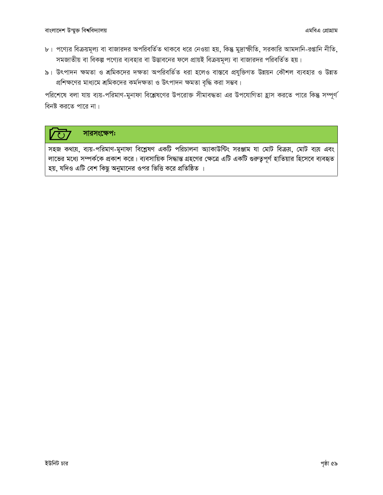- ৮। পণ্যের বিক্রয়মূল্য বা বাজারদর অপরিবর্তিত থাকবে ধরে নেওয়া হয়, কিন্তু মুদ্রাস্ফীতি, সরকারি আমদানি-রপ্তানি নীতি, সমজাতীয় বা বিকল্প পণ্যের ব্যবহার বা উদ্ভাবনের ফলে প্রায়ই বিক্রয়মূল্য বা বাজারদর পরিবর্তিত হয়।
- ৯। উৎপাদন ক্ষমতা ও শ্রমিকদের দক্ষতা অপরিবর্তিত ধরা হলেও বাস্তবে প্রযুক্তিগত উন্নয়ন কৌশল ব্যবহার ও উন্নত প্রশিক্ষণের মাধ্যমে শ্রমিকদের কর্মদক্ষতা ও উৎপাদন ক্ষমতা বৃদ্ধি করা সম্ভব।

পরিশেষে বলা যায় ব্যয়-পরিমাণ-মুনাফা বিশ্লেষণের উপরোক্ত সীমাবদ্ধতা এর উপযোগিতা হ্রাস করতে পারে কিন্তু সম্পূর্ণ বিনষ্ট করতে পারে না।

## সারসংক্ষেপ:

সহজ কথায়, ব্যয়-পরিমাণ-মুনাফা বিশ্লেষণ একটি পরিচালনা অ্যাকাউন্টিং সরঞ্জাম যা মোট বিক্রয়, মোট ব্যয় এবং লাভের মধ্যে সম্পর্ককে প্রকাশ করে। ব্যবসায়িক সিদ্ধান্ত গ্রহণের ক্ষেত্রে এটি একটি গুরুত্বপূর্ণ হাতিয়ার হিসেবে ব্যবহৃত হয়, যদিও এটি বেশ কিছু অনুমানের ওপর ভিত্তি করে প্রতিষ্ঠিত ।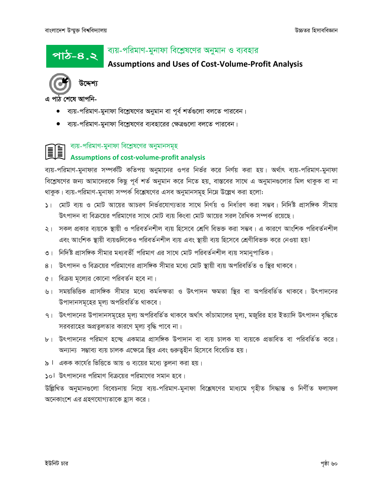<u>পাঠ-৪.২</u>

### ব্যয়-পরিমাণ-মুনাফা বিশ্লেষণের অনুমান ও ব্যবহার

### **Assumptions and Uses of Cost-Volume-Profit Analysis**



এ পাঠ শেষে আপনি-

- ব্যয়-পরিমাণ-মুনাফা বিশ্লেষণের অনুমান বা পূর্ব শর্তগুলো বলতে পারবেন।
- ব্যয়-পরিমাণ-মুনাফা বিশ্লেষণের ব্যবহারের ক্ষেত্রগুলো বলতে পারবেন।

### ব্যয়-পরিমাণ-মুনাফা বিশ্লেষণের অনুমানসমূহ **Assumptions of cost-volume-profit analysis**

ব্যয়-পরিমাণ-মুনাফার সম্পর্কটি কতিপয় অনুমানের ওপর নির্ভর করে নির্ণয় করা হয়। অর্থাৎ ব্যয়-পরিমাণ-মুনাফা বিশ্লেষণের জন্য আমাদেরকে কিছু পূর্ব শর্ত অনুমান করে নিতে হয়, বাস্তবের সাথে এ অনুমানগুলোর মিল থাকুক বা না থাকুক। ব্যয়-পরিমাণ-মুনাফা সম্পর্ক বিশ্লেষণের এসব অনুমানসমূহ নিমে উল্লেখ করা হলো:

- ১। মোট ব্যয় ও মোট আয়ের আচরণ নির্ভরযোগ্যতার সাথে নির্ণয় ও নির্ধারণ করা সম্ভব। নির্দিষ্ট প্রাসঙ্গিক সীমায় উৎপাদন বা বিক্রয়ের পরিমাণের সাথে মোট ব্যয় কিংবা মোট আয়ের সরল রৈখিক সম্পর্ক রয়েছে।
- ২। সকল প্রকার ব্যয়কে স্থায়ী ও পরিবর্তনশীল ব্যয় হিসেবে শ্রেণি বিভক্ত করা সম্ভব। এ কারণে আংশিক পরিবর্তনশীল এবং আংশিক স্থায়ী ব্যয়গুলিকেও পরিবর্তনশীল ব্যয় এবং স্থায়ী ব্যয় হিসেবে শ্রেণীবিভক্ত করে নেওয়া হয়।
- ৩। নির্দিষ্ট প্রাসঙ্গিক সীমার মধ্যবর্তী পরিমাণ এর সাথে মোট পরিবর্তনশীল ব্যয় সমানুপাতিক।
- ৪। উৎপাদন ও বিক্রয়ের পরিমাণের প্রাসঙ্গিক সীমার মধ্যে মোট স্থায়ী ব্যয় অপরিবর্তিত ও স্থির থাকবে।
- ৫। বিক্রয় মূল্যের কোনো পরিবর্তন হবে না।
- ৬। সময়ভিত্তিক প্রাসঙ্গিক সীমার মধ্যে কর্মদক্ষতা ও উৎপাদন ক্ষমতা স্থির বা অপরিবর্তিত থাকবে। উৎপাদনের উপাদানসমূহের মূল্য অপরিবর্তিত থাকবে।
- ৭। উৎপাদনের উপাদানসমূহের মূল্য অপরিবর্তিত থাকবে অর্থাৎ কাঁচামালের মূল্য, মজুরির হার ইত্যাদি উৎপাদন বৃদ্ধিতে সরবরাহের অপ্রতুলতার কারণে মূল্য বৃদ্ধি পাবে না।
- ৮। উৎপাদনের পরিমাণ হচ্ছে একমাত্র প্রাসঙ্গিক উপাদান বা ব্যয় চালক যা ব্যয়কে প্রভাবিত বা পরিবর্তিত করে। অন্যান্য সম্ভাব্য ব্যয় চালক এক্ষেত্রে স্থির এবং গুরুত্বহীন হিসেবে বিবেচিত হয়।
- ৯। একক কার্যের ভিত্তিতে আয় ও ব্যয়ের মধ্যে তুলনা করা হয়।

 $\mathsf{Sol}\,$  উৎপাদনের পরিমাণ বিক্রয়ের পরিমাণের সমান হবে।

উল্লিখিত অনুমানগুলো বিবেচনায় নিয়ে ব্যয়-পরিমাণ-মুনাফা বিশ্লেষণের মাধ্যমে গৃহীত সিদ্ধান্ত ও নির্ণীত ফলাফল অনেকাংশে এর গ্রহণযোগ্যতাকে হ্রাস করে।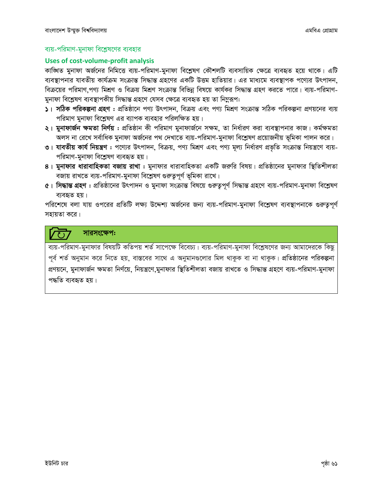### ব্যয়-পরিমাণ-মুনাফা বিশ্লেষণের ব্যবহার

#### **Uses of cost-volume-profit analysis**

কাঙ্গিত মুনাফা অর্জনের নিমিত্তে ব্যয়-পরিমাণ-মুনাফা বিশ্লেষণ কৌশলটি ব্যবসায়িক ক্ষেত্রে ব্যবহৃত হয়ে থাকে। এটি ব্যবস্থাপনার যাবতীয় কার্যক্রম সংক্রান্ত সিদ্ধান্ত গ্রহণের একটি উত্তম হাতিয়ার। এর মাধ্যমে ব্যবস্থাপক পণ্যের উৎপাদন, বিক্রয়ের পরিমাণ পণ্য মিশ্রণ ও বিক্রয় মিশ্রণ সংক্রান্ত বিভিন্ন বিষয়ে কার্যকর সিদ্ধান্ত গ্রহণ করতে পারে। ব্যয়-পরিমাণ-মুনাফা বিশ্লেষণ ব্যবস্থাপকীয় সিদ্ধান্ত গ্ৰহণে যেসব ক্ষেত্ৰে ব্যবহৃত হয় তা নিমুরূপ:

- ১। সঠিক পরিকল্পনা গ্রহণ : প্রতিষ্ঠানে পণ্য উৎপাদন, বিক্রয় এবং পণ্য মিশ্রণ সংক্রান্ত সঠিক পরিকল্পনা প্রণয়নের ব্যয় পরিমাণ মুনাফা বিশ্লেষণ এর ব্যাপক ব্যবহার পরিলক্ষিত হয়।
- ২। **মুনাফার্জন ক্ষমতা নির্ণয়:** প্রতিষ্ঠান কী পরিমাণ মুনাফার্জনে সক্ষম, তা নির্ধারণ করা ব্যবস্থাপনার কাজ। কর্মক্ষমতা অলস না রেখে সর্বাধিক মুনাফা অর্জনের পথ দেখাতে ব্যয়-পরিমাণ-মুনাফা বিশ্লেষণ প্রয়োজনীয় ভূমিকা পালন করে।
- ৩। যাবতীয় কার্য নিয়ন্ত্রণ : পণ্যের উৎপাদন, বিক্রয়, পণ্য মিশ্রণ এবং পণ্য মূল্য নির্ধারণ প্রভৃতি সংক্রান্ত নিয়ন্ত্রণে ব্যয়-পরিমাণ-মুনাফা বিশ্লেষণ ব্যবহৃত হয়।
- ৪। মুনাফার ধারাবাহিকতা বজায় রাখা : মুনাফার ধারাবাহিকতা একটি জরুরি বিষয়। প্রতিষ্ঠানের মুনাফার স্থিতিশীলতা বজায় রাখতে ব্যয়-পরিমাণ-মুনাফা বিশ্লেষণ গুরুতুপূর্ণ ভূমিকা রাখে।
- ৫। সিদ্ধান্ত গ্রহণ : প্রতিষ্ঠানের উৎপাদন ও মুনাফা সংক্রান্ত বিষয়ে গুরুতুপূর্ণ সিদ্ধান্ত গ্রহণে ব্যয়-পরিমাণ-মুনাফা বিশ্লেষণ ব্যবহৃত হয়।

পরিশেষে বলা যায় ওপরের প্রতিটি লক্ষ্য উদ্দেশ্য অর্জনের জন্য ব্যয়-পরিমাণ-মুনাফা বিশ্লেষণ ব্যবস্থাপনাকে গুরুত্বপূর্ণ সহায়তা করে।

### সারসংক্ষেপ:

ব্যয়-পরিমাণ-মুনাফার বিষয়টি কতিপয় শর্ত সাপেক্ষে বিবেচ্য। ব্যয়-পরিমাণ-মুনাফা বিশ্লেষণের জন্য আমাদেরকে কিছু পূর্ব শর্ত অনুমান করে নিতে হয়, বাস্তবের সাথে এ অনুমানগুলোর মিল থাকুক বা না থাকুক। প্রতিষ্ঠানের পরিকল্পনা প্রণয়নে, মুনাফার্জন ক্ষমতা নির্ণয়ে, নিয়ন্ত্রণে,মুনাফার স্থিতিশীলতা বজায় রাখতে ও সিদ্ধান্ত গ্রহণে ব্যয়-পরিমাণ-মুনাফা পদ্ধতি ব্যবহৃত হয়।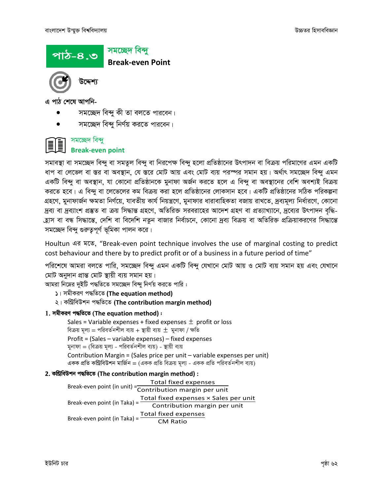

এ পাঠ শেষে আপনি-

- সমচ্ছেদ বিন্দু কী তা বলতে পারবেন।
- সমচ্ছেদ বিন্দু নির্ণয় করতে পারবেন।

#### সমচ্ছেদ বিন্দু II

### **Break-even point**

সমাবস্থা বা সমচ্ছেদ বিন্দু বা সমতুল বিন্দু বা নিরপেক্ষ বিন্দু হলো প্রতিষ্ঠানের উৎপাদন বা বিক্রয় পরিমাণের এমন একটি ধাপ বা লেভেল বা স্তর বা অবস্থান, যে স্তরে মোট আয় এবং মোট ব্যয় পরস্পর সমান হয়। অর্থাৎ সমচ্ছেদ বিন্দু এমন একটি বিন্দু বা অবস্থান, যা কোনো প্রতিষ্ঠানকে মুনাফা অর্জন করতে হলে এ বিন্দু বা অবস্থানের বেশি অবশ্যই বিক্রয় করতে হবে। এ বিন্দু বা লেভেলের কম বিক্রয় করা হলে প্রতিষ্ঠানের লোকসান হবে। একটি প্রতিষ্ঠানের সঠিক পরিকল্পনা গ্রহণে, মুনাফার্জন ক্ষমতা নির্ণয়ে, যাবতীয় কার্য নিয়ন্ত্রণে, মুনাফার ধারাবাহিকতা বজায় রাখতে, দ্রব্যমূল্য নির্ধারণে, কোনো দ্রব্য বা দ্রব্যাংশ প্রস্তুত বা ক্রয় সিদ্ধান্ত গ্রহণে, অতিরিক্ত সরবরাহের আদেশ গ্রহণ বা প্রত্যাখ্যানে, দ্রব্যের উৎপাদন বৃদ্ধি-হ্রাস বা বন্ধ সিদ্ধান্তে, দেশি বা বিদেশি নতুন বাজার নির্বাচনে, কোনো দ্রব্য বিক্রয় বা অতিরিক্ত প্রক্রিয়াকরণের সিদ্ধান্তে সমচ্ছেদ বিন্দু গুরুতুপূর্ণ ভূমিকা পালন করে।

Houltun এর মতে, "Break-even point technique involves the use of marginal costing to predict cost behaviour and there by to predict profit or of a business in a future period of time"

পরিশেষে আমরা বলতে পারি, সমচ্ছেদ বিন্দু এমন একটি বিন্দু যেখানে মোট আয় ও মোট ব্যয় সমান হয় এবং যেখানে মোট অনুদান প্ৰান্ত মোট স্থায়ী ব্যয় সমান হয়।

আমরা নিম্নের দুইটি পদ্ধতিতে সমচ্ছেদ বিন্দু নির্ণয় করতে পারি :

- ১। সমীকরণ পদ্ধতিতে (The equation method)
- ২। কম্ৰিবিউশন পদ্ধতিতে (The contribution margin method)

#### 1. সমীকরণ পদ্ধতিতে (The equation method):

Sales = Variable expenses + fixed expenses  $\pm$  profit or loss বিক্রয় মূল্য = পরিবর্তনশীল ব্যয় + স্থায়ী ব্যয়  $\pm$  মুনাফা / ক্ষতি

Profit = (Sales - variable expenses) - fixed expenses মুনাফা = (বিক্রয় মূল্য - পরিবর্তনশীল ব্যয়) - স্থায়ী ব্যয়

Contribution Margin = (Sales price per unit - variable expenses per unit) একক প্রতি কন্ট্রিবিউশন মার্জিন = (একক প্রতি বিক্রয় মূল্য - একক প্রতি পরিবর্তনশীল ব্যয়)

### 2. কম্ৰিবিউশন পদ্ধতিতে (The contribution margin method):

Total fixed expenses Break-even point (in unit) = contribution margin per unit Break-even point (in Taka) =  $\frac{Total fixed$  expenses  $\times$  Sales per unit Contribution margin per unit Break-even point (in Taka) = Total fixed expenses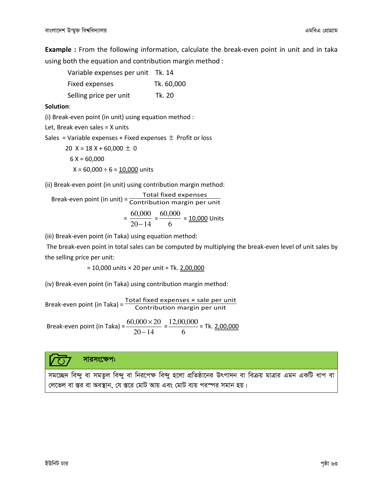**Example** : From the following information, calculate the break-even point in unit and in taka using both the equation and contribution margin method :

| Variable expenses per unit | Tk. 14     |
|----------------------------|------------|
| Fixed expenses             | Tk. 60,000 |
| Selling price per unit     | Tk. 20     |

#### Solution:

(i) Break-even point (in unit) using equation method :

Let, Break even sales = X units

Sales = Variable expenses + Fixed expenses  $\pm$  Profit or loss

 20 X = 18 X + 60,000 ± 0 6 X = 60,000 X = 60,000 ÷ 6 = 10,000 units

(ii) Break-even point (in unit) using contribution margin method:

Break-even point (in unit) = Total fixed expenses<br>Contribution margin per unit

$$
= \frac{60,000}{20 - 14} = \frac{60,000}{6} = \underline{10,000}
$$
 Units

(iii) Break-even point (in Taka) using equation method:

 The break-even point in total sales can be computed by multiplying the break-even level of unit sales by the selling price per unit:

 $= 10,000$  units  $\times$  20 per unit = Tk. 2,00,000

(iv) Break-even point (in Taka) using contribution margin method:

Break-even point (in Taka) =  $\frac{Total fixed$  expenses  $\times$  sale per unit

 Break-even point (in Taka) =  $20 - 14$  $60,000 \times 20$ −  $\frac{\times 20}{\cdot \cdot \cdot}$  = 6  $\frac{12,00,000}{2}$  = Tk. 2,00,000



সমচ্ছেদ বিন্দু বা সমতুল বিন্দু বা নিরপেক্ষ বিন্দু হলো প্রতিষ্ঠানের উৎপাদন বা বিক্রয় মাত্রার এমন একটি ধাপ বা লেভেল বা স্তর বা অবস্থান, যে স্তরে মোট আয় এবং মোট ব্যয় পরস্পর সমান হয়।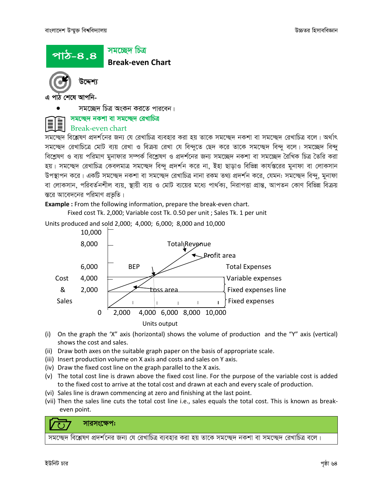### সমচ্ছেদ চিত্ৰ Break-even Chart <u>পাঠ-৪.৪</u>

উদ্দেশ

এ পাঠ শেষে আপনি-

সমচ্ছেদ চিত্র অংকন করতে পারবেন।

### সমচ্ছেদ নকশা বা সমচ্ছেদ রেখাচিত্র

### Break-even chart

সমচ্ছেদ বিশ্লেষণ প্রদর্শনের জন্য যে রেখাচিত্র ব্যবহার করা হয় তাকে সমচ্ছেদ নকশা বা সমচ্ছেদ রেখাচিত্র বলে। অর্থাৎ সমচ্ছেদ রেখাচিত্রে মোট ব্যয় রেখা ও বিক্রয় রেখা যে বিন্দুতে ছেদ করে তাকে সমচ্ছেদ বিন্দু বলে। সমচ্ছেদ বিন্দু বিশ্লেষণ ও ব্যয় পরিমাণ মুনাফার সম্পর্ক বিশ্লেষণ ও প্রদর্শনের জন্য সমচ্ছেদ নকশা বা সমচ্ছেদ রৈখিক চিত্র তৈরি করা হয়। সমচ্ছেদ রেখাচিত্র কেবলমাত্র সমচ্ছেদ বিন্দু প্রদর্শন করে না, ইহা ছাড়াও বিভিন্ন কার্যস্তরের মুনাফা বা লোকসান উপস্থাপন করে। একটি সমচ্ছেদ নকশা বা সমচ্ছেদ রেখাচিত্র নানা রকম তথ্য প্রদর্শন করে, যেমন: সমচ্ছেদ বিন্দু, মুনাফা বা লোকসান, পরিবর্তনশীল ব্যয়, স্থায়ী ব্যয় ও মোট ব্যয়ের মধ্যে পার্থক্য, নিরাপত্তা প্রান্ত, আপতন কোণ বিভিন্ন বিক্রয় স্তরে আবেদনের পরিমাণ প্রভৃতি।

Example : From the following information, prepare the break-even chart.

Fixed cost Tk. 2,000; Variable cost Tk. 0.50 per unit ; Sales Tk. 1 per unit

Units produced and sold 2,000; 4,000; 6,000; 8,000 and 10,000 10,000  $8,000$   $\qquad \qquad$  Total Revenue Profit area  $6,000$  BEP  $\sqrt{2}$  Total Expenses Cost 4,000 Variable expenses 8 2,000 <del>1 2 toss area</del> Fixed expenses line Sales  $\begin{array}{ccc} \begin{array}{ccc} \end{array} & \begin{array}{ccc} \end{array} & \begin{array}{ccc} \end{array} & \begin{array}{ccc} \end{array} & \begin{array}{ccc} \end{array} & \begin{array}{ccc} \end{array} & \begin{array}{ccc} \end{array} & \begin{array}{ccc} \end{array} & \begin{array}{ccc} \end{array} & \begin{array}{ccc} \end{array} & \begin{array}{ccc} \end{array} & \begin{array}{ccc} \end{array} & \begin{array}{ccc} \end{array} & \begin{array}{ccc} \end{array} & \begin{array}{ccc} \end{array} & \begin{array}{ccc} \end{array}$  0 2,000 4,000 6,000 8,000 10,000 Units output

- (i) On the graph the 'X" axis (horizontal) shows the volume of production and the "Y" axis (vertical) shows the cost and sales.
- (ii) Draw both axes on the suitable graph paper on the basis of appropriate scale.
- (iii) Insert production volume on X axis and costs and sales on Y axis.
- (iv) Draw the fixed cost line on the graph parallel to the X axis.
- (v) The total cost line is drawn above the fixed cost line. For the purpose of the variable cost is added to the fixed cost to arrive at the total cost and drawn at each and every scale of production.
- (vi) Sales line is drawn commencing at zero and finishing at the last point.
- (vii) Then the sales line cuts the total cost line i.e., sales equals the total cost. This is known as breakeven point.

### সারসংক্ষেপ:

সমচ্ছেদ বিশ্লেষণ প্রদর্শনের জন্য যে রেখাচিত্র ব্যবহার করা হয় তাকে সমচ্ছেদ নকশা বা সমচ্ছেদ রেখাচিত্র বলে।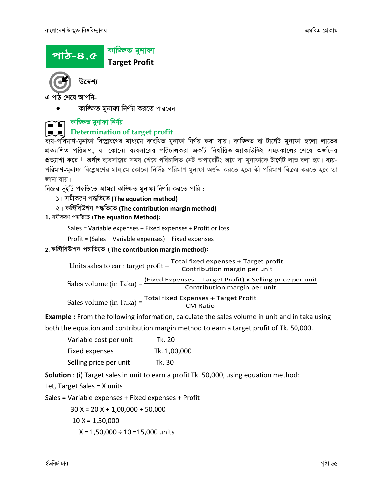



- এ পাঠ শেষে আপনি-
	- কাজ্চিত মনাফা নির্ণয় করতে পারবেন।



### কাজ্ঞ্চিত মুনাফা নিৰ্ণয়

### Determination of target profit

ব্যয়-পরিমাণ-মুনাফা বিশ্লেষণের মাধ্যমে কাংখিত মুনাফা নির্ণয় করা যায়। কাজ্ঞিত বা টার্গেট মুনাফা হলো লাভের প্রত্যাশিত পরিমাণ, যা কোনো ব্যবসায়ের পরিচালকরা একটি নির্ধারিত অ্যাকাউন্টিং সময়কালের শেষে অর্জনের প্রত্যাশা করে l অর্থাৎ ব্যবসায়ের সময় শেষে পরিচালিত নেট অপারেটিং আয় বা মুনাফাকে <mark>টার্গেট</mark> লাভ বলা হয়। ব্যয়-পরিমাণ-মুনাফা বিশ্লেষণের মাধ্যমে কোনো নির্দিষ্ট পরিমাণ মুনাফা অর্জন করতে হলে কী পরিমাণ বিক্রয় করতে হবে তা জানা যায়।

নিম্নের দুইটি পদ্ধতিতে আমরা কাজ্চ্চিত মুনাফা নির্ণয় করতে পারি:

- ১। সমীকরণ পদ্ধতিতে (The equation method)
- ২। কম্ৰিবিউশন পদ্ধতিতে (The contribution margin method)

### 1. সমীকরণ পদ্ধতিতে (The equation Method):

Sales = Variable expenses + Fixed expenses + Profit or loss

Profit = (Sales – Variable expenses) – Fixed expenses

### 2. % (The contribution margin method):

Units sales to earn target profit =  $\frac{Total fixed$  expenses + Target profit Contribution margin per unit Sales volume (in Taka) =  $\frac{\text{(Fixed Expenses + Target Profit)} \times \text{Selling price per unit}}{\text{Simpl to the object}}$ 

Contribution margin per unit

Sales volume (in Taka) =  $\frac{Total fixed Express + Target Profit}{CM Ratio}$ 

Example : From the following information, calculate the sales volume in unit and in taka using

both the equation and contribution margin method to earn a target profit of Tk. 50,000.

| Variable cost per unit | Tk. 20       |
|------------------------|--------------|
| Fixed expenses         | Tk. 1,00,000 |
| Selling price per unit | Tk. 30       |

Solution : (i) Target sales in unit to earn a profit Tk. 50,000, using equation method:

Let, Target Sales = X units

Sales = Variable expenses + Fixed expenses + Profit

30 X = 20 X + 1,00,000 + 50,000

 $10 X = 1,50,000$ 

$$
X = 1,50,000 \div 10 = 15,000
$$
 units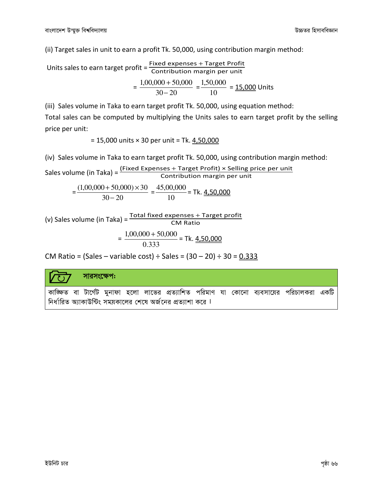(ii) Target sales in unit to earn a profit Tk. 50,000, using contribution margin method:

Units sales to earn target profit =  $\frac{Fixed$  expenses + Target Profit Contribution margin per unit

$$
= \frac{1,00,000 + 50,000}{30 - 20} = \frac{1,50,000}{10} = \underline{15,000}
$$
 Units

(iii) Sales volume in Taka to earn target profit Tk. 50,000, using equation method:

Total sales can be computed by multiplying the Units sales to earn target profit by the selling price per unit:

 $= 15,000$  units  $\times$  30 per unit = Tk.  $4,50,000$ 

(iv) Sales volume in Taka to earn target profit Tk. 50,000, using contribution margin method:

Sales volume (in Taka) =  $\frac{Fixed Expenses + Target Profit) \times Selling price per unit}{Contribution margin per unit}$ 

$$
=\frac{(1,00,000+50,000)\times30}{30-20}=\frac{45,00,000}{10}=\text{Tk. } \underline{4,50,000}
$$

(v) Sales volume (in Taka) =  $\frac{Total fixed$  expenses + Target profit CM Ratio

$$
= \frac{1,00,000 + 50,000}{0.333} = \text{Tk. } \underline{4,50,000}
$$

CM Ratio = (Sales – variable cost) ÷ Sales =  $(30 - 20) \div 30 = 0.333$ 

### সারসংক্ষেপ:

কাজ্ঞিত বা টার্গেট মুনাফা হলো লাভের প্রত্যাশিত পরিমাণ যা কোনো ব্যবসায়ের পরিচালকরা একটি নির্ধারিত অ্যাকাউন্টিং সময়কালের শেষে অর্জনের প্রত্যাশা করে ।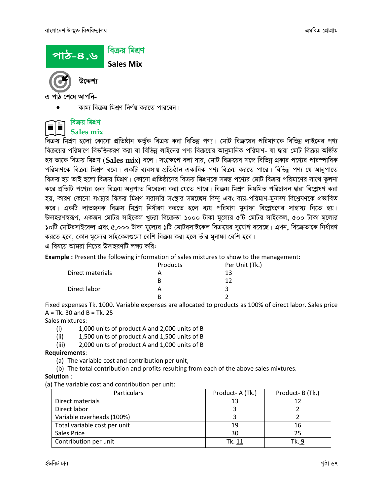

এ পাঠ শেষে আপনি-

কাম্য বিক্রয় মিশ্রণ নির্ণয় করতে পারবেন।



#### বিক্ৰয় মিশ্ৰণ Sales mix

বিক্রয় মিশ্রণ হলো কোনো প্রতিষ্ঠান কর্তৃক বিক্রয় করা বিভিন্ন পণ্য। মোট বিক্রয়ের পরিমাণকে বিভিন্ন লাইনের পণ্য বিক্রয়ের পরিমাণে বিভক্তিকরণ করা বা বিভিন্ন লাইনের পণ্য বিক্রয়ের আনুমানিক পরিমাণ- যা দ্বারা মোট বিক্রয় অর্জিত হয় তাকে বিক্রয় মিশ্রণ (Sales mix) বলে। সংক্ষেপে বলা যায়, মোট বিক্রয়ের সঙ্গে বিভিন্ন প্রকার পণ্যের পারস্পারিক পরিমাণকে বিক্রয় মিশ্রণ বলে। একটি ব্যবসায় প্রতিষ্ঠান একাধিক পণ্য বিক্রয় করতে পারে। বিভিন্ন পণ্য যে আনুপাতে বিক্রয় হয় তাই হলো বিক্রয় মিশ্রণ। কোনো প্রতিষ্ঠানের বিক্রয় মিশ্রণকে সমস্ত পণ্যের মোট বিক্রয় পরিমাণের সাথে তুলনা করে প্রতিটি পণ্যের জন্য বিক্রয় অনুপাত বিবেচনা করা যেতে পারে। বিক্রয় মিশ্রণ নিয়মিত পরিচালন দ্বারা বিশ্লেষণ করা হয়, কারণ কোনো সংস্থার বিক্রয় মিশ্রণ সরাসরি সংস্থার সমচ্ছেদ বিন্দু এবং ব্যয়-পরিমাণ-মুনাফা বিশ্লেষণকে প্রভাবিত করে। একটি লাভজনক বিক্রয় মিশ্রণ নির্ধারণ করতে হলে ব্যয় পরিমাণ মুনাফা বিশ্লেষণের সাহায্য নিতে হয়। উদাহরণস্বরূপ, একজন মোটর সাইকেল খুচরা বিক্রেতা ১০০০ টাকা মূল্যের ৫টি মোটর সাইকেল, ৫০০ টাকা মূল্যের ১০টি মোটরসাইকেল এবং ৫,০০০ টাকা মূল্যের ১টি মোটরসাইকেল বিক্রয়ের সুযোগ রয়েছে। এখন, বিক্রেতাকে নির্ধারণ করতে হবে, কোন মূল্যের সাইকেলগুলো বেশি বিক্রয় করা হলে তাঁর মুনাফা বেশি হবে।

এ বিষয়ে আমরা নিচের উদাহরণটি লক্ষ্য করি:

Example : Present the following information of sales mixtures to show to the management:

|                  | Products | Per Unit (Tk.) |
|------------------|----------|----------------|
| Direct materials |          | 13             |
|                  |          |                |
| Direct labor     |          |                |
|                  |          |                |

Fixed expenses Tk. 1000. Variable expenses are allocated to products as 100% of direct labor. Sales price  $A = Tk. 30$  and  $B = Tk. 25$ 

Sales mixtures:

- (i) 1,000 units of product A and 2,000 units of B
- (ii) 1,500 units of product A and 1,500 units of B
- (iii) 2,000 units of product A and 1,000 units of B

#### Requirements:

- (a) The variable cost and contribution per unit,
- (b) The total contribution and profits resulting from each of the above sales mixtures.

#### Solution :

(a) The variable cost and contribution per unit:

| <b>Particulars</b>           | Product-A (Tk.) | Product-B (Tk.) |
|------------------------------|-----------------|-----------------|
| Direct materials             | 13              | 12              |
| Direct labor                 |                 |                 |
| Variable overheads (100%)    |                 |                 |
| Total variable cost per unit | 19              | 16              |
| Sales Price                  | 30              | 25              |
| Contribution per unit        | Tk. 11          | Tk. 9           |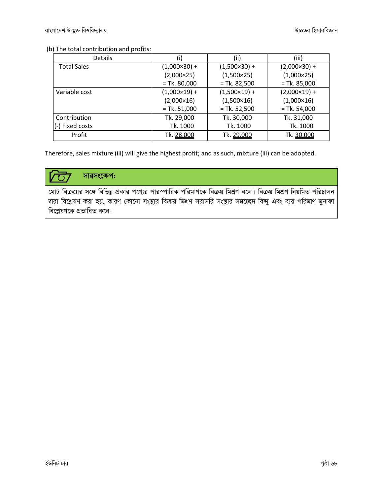### (b) The total contribution and profits:

| <b>Details</b>          | (i)                 | (ii)                | (iii)               |
|-------------------------|---------------------|---------------------|---------------------|
| <b>Total Sales</b>      | $(1,000\times30) +$ | $(1,500\times30) +$ | $(2,000\times30) +$ |
|                         | $(2,000 \times 25)$ | $(1,500\times25)$   | $(1,000\times25)$   |
|                         | $=$ Tk. 80,000      | $=$ Tk. 82,500      | $=$ Tk. 85,000      |
| Variable cost           | $(1,000\times19) +$ | $(1,500\times19) +$ | $(2,000\times19) +$ |
|                         | $(2,000\times16)$   | $(1,500\times16)$   | $(1,000\times16)$   |
|                         | $=$ Tk. 51,000      | $=$ Tk. 52,500      | $=$ Tk. 54,000      |
| Contribution            | Tk. 29,000          | Tk. 30,000          | Tk. 31,000          |
| $\vert$ (-) Fixed costs | Tk. 1000            | Tk. 1000            | Tk. 1000            |
| Profit                  | Tk. 28,000          | Tk. 29,000          | Tk. 30,000          |

Therefore, sales mixture (iii) will give the highest profit; and as such, mixture (iii) can be adopted.

#### সারসংক্ষেপ:  $\overline{C}$

মোট বিক্রয়ের সঙ্গে বিভিন্ন প্রকার পণ্যের পারস্পারিক পরিমাণকে বিক্রয় মিশ্রণ বলে। বিক্রয় মিশ্রণ নিয়মিত পরিচালন দ্বারা বিশ্লেষণ করা হয়, কারণ কোনো সংস্থার বিক্রয় মিশ্রণ সরাসরি সংস্থার সমচ্ছেদ বিন্দু এবং ব্যয় পরিমাণ মুনাফা বিশ্লেষণকে প্রভাবিত করে।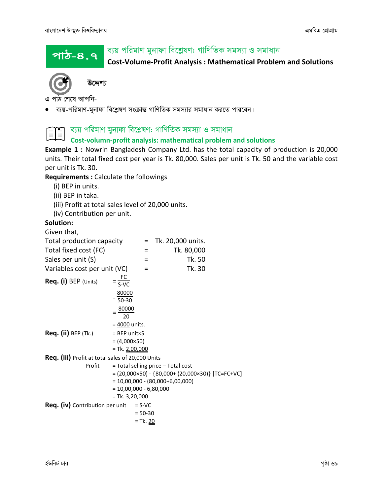পাঠ–৪.৭

### ব্যয় পরিমাণ মুনাফা বিশ্লেষণ: গাণিতিক সমস্যা ও সমাধান

Cost-Volume-Profit Analysis : Mathematical Problem and Solutions



এ পাঠ শেষে আপনি-

ব্যয়-পরিমাণ-মুনাফা বিশ্লেষণ সংক্রান্ত গাণিতিক সমস্যার সমাধান করতে পারবেন।

### ব্যয় পরিমাণ মুনাফা বিশ্লেষণ: গাণিতিক সমস্যা ও সমাধান **ii**

### Cost-volumn-profit analysis: mathematical problem and solutions

**Example 1 :** Nowrin Bangladesh Company Ltd. has the total capacity of production is 20,000 units. Their total fixed cost per year is Tk. 80,000. Sales per unit is Tk. 50 and the variable cost per unit is Tk. 30.

Requirements : Calculate the followings

- (i) BEP in units.
- (ii) BEP in taka.
- (iii) Profit at total sales level of 20,000 units.
- (iv) Contribution per unit.

### Solution:

Given that,

| Total production capacity                        |                          |             | $=$ Tk. 20,000 units.                                               |  |
|--------------------------------------------------|--------------------------|-------------|---------------------------------------------------------------------|--|
| Total fixed cost (FC)                            |                          | Ξ           | Tk. 80,000                                                          |  |
| Sales per unit (S)                               |                          | =           | Tk. 50                                                              |  |
| Variables cost per unit (VC)                     |                          | $\equiv$    | Tk. 30                                                              |  |
| Req. (i) BEP (Units)                             | $=\frac{FC}{S-VC}$       |             |                                                                     |  |
|                                                  | $=\frac{80000}{50-30}$   |             |                                                                     |  |
|                                                  | $=\frac{80000}{20}$      |             |                                                                     |  |
|                                                  | = 4000 units.            |             |                                                                     |  |
| <b>Req. (ii) BEP (Tk.)</b>                       | $=$ BEP unit $\times$ S  |             |                                                                     |  |
|                                                  | $= (4,000 \times 50)$    |             |                                                                     |  |
|                                                  | $= Tk. 2,00,000$         |             |                                                                     |  |
| Req. (iii) Profit at total sales of 20,000 Units |                          |             |                                                                     |  |
| Profit                                           |                          |             | = Total selling price - Total cost                                  |  |
|                                                  |                          |             | $= (20,000 \times 50) - \{80,000 + (20,000 \times 30)\}$ [TC=FC+VC] |  |
|                                                  |                          |             | $= 10,00,000 - (80,000+6,00,000)$                                   |  |
|                                                  | $= 10,00,000 - 6,80,000$ |             |                                                                     |  |
|                                                  | $= Tk. 3,20,000$         |             |                                                                     |  |
| <b>Req. (iv)</b> Contribution per unit           |                          | $= S-VC$    |                                                                     |  |
|                                                  |                          | $= 50 - 30$ |                                                                     |  |
|                                                  |                          | = Tk. 20    |                                                                     |  |
|                                                  |                          |             |                                                                     |  |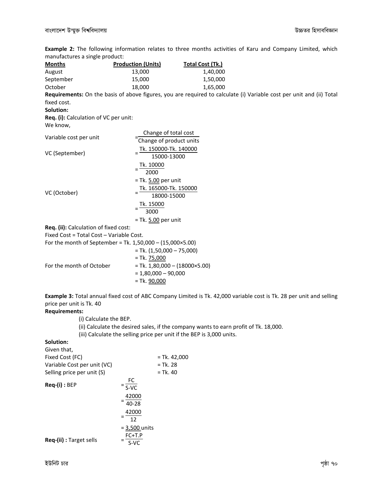Example 2: The following information relates to three months activities of Karu and Company Limited, which manufactures a single product:

| mandiactures a single product.                                     |                                                                       |                                                                                                                      |
|--------------------------------------------------------------------|-----------------------------------------------------------------------|----------------------------------------------------------------------------------------------------------------------|
| <u>Months</u>                                                      | <b>Production (Units)</b>                                             | <b>Total Cost (Tk.)</b>                                                                                              |
| August                                                             | 13,000                                                                | 1,40,000                                                                                                             |
| September                                                          | 15,000                                                                | 1,50,000                                                                                                             |
| October                                                            | 18,000                                                                | 1,65,000                                                                                                             |
|                                                                    |                                                                       | Requirements: On the basis of above figures, you are required to calculate (i) Variable cost per unit and (ii) Total |
| fixed cost.                                                        |                                                                       |                                                                                                                      |
| Solution:                                                          |                                                                       |                                                                                                                      |
| Req. (i): Calculation of VC per unit:                              |                                                                       |                                                                                                                      |
| We know,                                                           |                                                                       |                                                                                                                      |
|                                                                    | Change of total cost                                                  |                                                                                                                      |
| Variable cost per unit                                             | Change of product units                                               |                                                                                                                      |
|                                                                    | Tk. 150000-Tk. 140000                                                 |                                                                                                                      |
| VC (September)                                                     | 15000-13000                                                           |                                                                                                                      |
|                                                                    | Tk. 10000                                                             |                                                                                                                      |
|                                                                    | $=\frac{1}{2000}$                                                     |                                                                                                                      |
|                                                                    | = Tk. 5.00 per unit                                                   |                                                                                                                      |
|                                                                    |                                                                       |                                                                                                                      |
| VC (October)                                                       | Tk. 165000-Tk. 150000<br>18000-15000                                  |                                                                                                                      |
|                                                                    |                                                                       |                                                                                                                      |
|                                                                    | $=\frac{Tk. 15000}{3000}$                                             |                                                                                                                      |
|                                                                    | $=$ Tk. $5.00$ per unit                                               |                                                                                                                      |
| Req. (ii): Calculation of fixed cost:                              |                                                                       |                                                                                                                      |
| Fixed Cost = Total Cost - Variable Cost.                           |                                                                       |                                                                                                                      |
| For the month of September = Tk. $1,50,000 - (15,000 \times 5.00)$ |                                                                       |                                                                                                                      |
|                                                                    | $=$ Tk. $(1,50,000 - 75,000)$                                         |                                                                                                                      |
|                                                                    | $= Tk. 75,000$                                                        |                                                                                                                      |
| For the month of October                                           | $=$ Tk. 1,80,000 $-$ (18000×5.00)                                     |                                                                                                                      |
|                                                                    | $= 1,80,000 - 90,000$                                                 |                                                                                                                      |
|                                                                    | $=$ Tk. $90,000$                                                      |                                                                                                                      |
|                                                                    |                                                                       |                                                                                                                      |
|                                                                    |                                                                       | Example 3: Total annual fixed cost of ABC Company Limited is Tk. 42,000 variable cost is Tk. 28 per unit and selling |
| price per unit is Tk. 40                                           |                                                                       |                                                                                                                      |
| <b>Requirements:</b>                                               |                                                                       |                                                                                                                      |
| (i) Calculate the BEP.                                             |                                                                       |                                                                                                                      |
|                                                                    |                                                                       | (ii) Calculate the desired sales, if the company wants to earn profit of Tk. 18,000.                                 |
|                                                                    | (iii) Calculate the selling price per unit if the BEP is 3,000 units. |                                                                                                                      |
| Solution:                                                          |                                                                       |                                                                                                                      |
| Given that,                                                        |                                                                       |                                                                                                                      |
| Fixed Cost (FC)                                                    | $=$ Tk. 42,000                                                        |                                                                                                                      |
| Variable Cost per unit (VC)                                        | $= Tk. 28$                                                            |                                                                                                                      |
| Selling price per unit (S)                                         | $=$ Tk. 40                                                            |                                                                                                                      |

| $Req-(i) : BEP$         | FC<br>S-VC       |
|-------------------------|------------------|
|                         | 42000            |
|                         | 40-28            |
|                         | 42000            |
|                         | 12               |
|                         | $= 3,500$ units  |
| Req-(ii) : Target sells | $FC+T.P$<br>S-VC |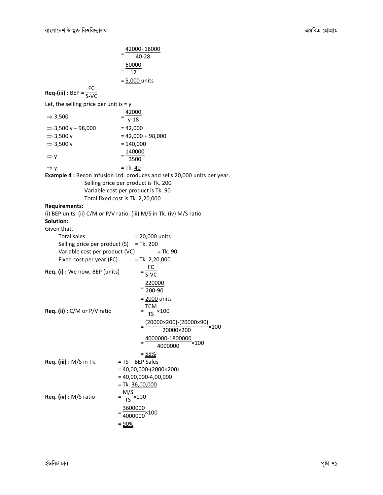|                                                            | $=\frac{42000+18000}{40-28}$                                                                                                                                                                       |
|------------------------------------------------------------|----------------------------------------------------------------------------------------------------------------------------------------------------------------------------------------------------|
|                                                            |                                                                                                                                                                                                    |
|                                                            | $=\frac{60000}{12}$                                                                                                                                                                                |
|                                                            | = 5,000 units                                                                                                                                                                                      |
| <b>Req-(iii)</b> : BEP = $\frac{FC}{S-VC}$                 |                                                                                                                                                                                                    |
| Let, the selling price per unit is $=$ y                   |                                                                                                                                                                                                    |
| $\Rightarrow$ 3,500                                        | $=\frac{42000}{v-18}$                                                                                                                                                                              |
| $\Rightarrow$ 3,500 y - 98,000                             | $= 42,000$                                                                                                                                                                                         |
| $\Rightarrow$ 3,500 y                                      | $= 42,000 + 98,000$                                                                                                                                                                                |
| $\Rightarrow$ 3,500 y                                      | $= 140,000$                                                                                                                                                                                        |
| $\Rightarrow$ y                                            | $=\frac{140000}{3500}$                                                                                                                                                                             |
| $\Rightarrow$ y                                            | $=$ Tk. 40                                                                                                                                                                                         |
|                                                            | <b>Example 4: Becon Infusion Ltd. produces and sells 20,000 units per year.</b><br>Selling price per product is Tk. 200<br>Variable cost per product is Tk. 90<br>Total fixed cost is Tk. 2,20,000 |
| <b>Requirements:</b>                                       |                                                                                                                                                                                                    |
| Solution:                                                  | (i) BEP units. (ii) C/M or P/V ratio. (iii) M/S in Tk. (iv) M/S ratio                                                                                                                              |
| Given that,                                                |                                                                                                                                                                                                    |
| <b>Total sales</b>                                         | $= 20,000$ units                                                                                                                                                                                   |
| Selling price per product (S)                              | $=$ Tk. 200<br>= Tk. 90                                                                                                                                                                            |
| Variable cost per product (VC)<br>Fixed cost per year (FC) | $=$ Tk. 2,20,000                                                                                                                                                                                   |
|                                                            |                                                                                                                                                                                                    |
| <b>Req. (i)</b> : We now, BEP (units)                      | $=\frac{FC}{S-VC}$                                                                                                                                                                                 |
|                                                            | $=\frac{220000}{200-90}$                                                                                                                                                                           |
|                                                            | = 2000 units                                                                                                                                                                                       |
| Req. (ii) : C/M or P/V ratio                               | $=\frac{TCM}{TS}\times 100$                                                                                                                                                                        |
|                                                            | $(20000 \times 200) - (20000 \times 90)$<br>×100<br>20000×200                                                                                                                                      |
|                                                            | 4000000-1800000<br>$\times 100$<br>4000000                                                                                                                                                         |
|                                                            | $= 55%$                                                                                                                                                                                            |
| Req. (iii) : M/S in Tk.                                    | = TS - BEP Sales                                                                                                                                                                                   |
|                                                            | $= 40,00,000-(2000\times200)$                                                                                                                                                                      |
|                                                            | $= 40,00,000-4,00,000$                                                                                                                                                                             |
|                                                            | $= Tk. 36,00,000$                                                                                                                                                                                  |
| Req. (iv) : M/S ratio                                      | $=\frac{M/S}{TS}\times 100$                                                                                                                                                                        |
|                                                            | $=\frac{3600000}{4000000} \times 100$                                                                                                                                                              |
|                                                            | $= 90%$                                                                                                                                                                                            |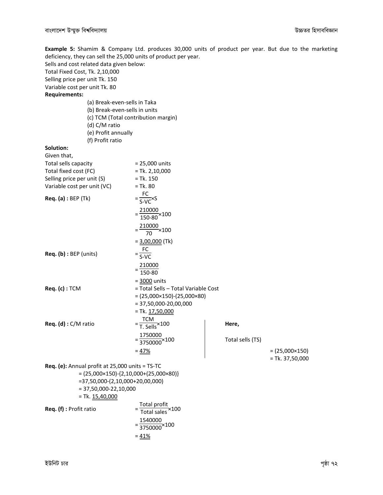Example 5: Shamim & Company Ltd. produces 30,000 units of product per year. But due to the marketing deficiency, they can sell the 25,000 units of product per year.

Sells and cost related data given below:

Total Fixed Cost, Tk. 2,10,000

Selling price per unit Tk. 150

Variable cost per unit Tk. 80

Requirements:

(a) Break-even-sells in Taka (b) Break-even-sells in units (c) TCM (Total contribution margin) (d) C/M ratio (e) Profit annually (f) Profit ratio

#### Solution:

| Given that,                                     |                                                             |                  |                         |
|-------------------------------------------------|-------------------------------------------------------------|------------------|-------------------------|
| Total sells capacity                            | = 25,000 units                                              |                  |                         |
| Total fixed cost (FC)                           | $=$ Tk. 2,10,000                                            |                  |                         |
| Selling price per unit (S)                      | $=$ Tk. 150                                                 |                  |                         |
| Variable cost per unit (VC)                     | $=$ Tk. 80                                                  |                  |                         |
| <b>Req. (a)</b> : BEP (Tk)                      | $=\frac{FC}{S-VC} \times S$                                 |                  |                         |
|                                                 | $=\frac{210000}{150-80} \times 100$                         |                  |                         |
|                                                 | $=\frac{210000}{70}$ × 100                                  |                  |                         |
|                                                 | $= 3,00,000$ (Tk)                                           |                  |                         |
| Req. (b) : BEP (units)                          | $=\frac{FC}{S-VC}$                                          |                  |                         |
|                                                 | $=\frac{210000}{150-80}$                                    |                  |                         |
|                                                 | $=$ 3000 units                                              |                  |                         |
| Req. (c) : TCM                                  | = Total Sells - Total Variable Cost                         |                  |                         |
|                                                 | $= (25,000 \times 150) - (25,000 \times 80)$                |                  |                         |
|                                                 | $= 37,50,000 - 20,00,000$                                   |                  |                         |
|                                                 | $=$ Tk. $17,50,000$                                         |                  |                         |
| Req. (d) : C/M ratio                            | $=\frac{TCM}{T.$ Sells $\times$ 100                         | Here,            |                         |
|                                                 | $=\frac{1750000}{3750000} \times 100$                       | Total sells (TS) |                         |
|                                                 | $= 47%$                                                     |                  | $= (25,000 \times 150)$ |
|                                                 |                                                             |                  | $=$ Tk. 37,50,000       |
| Req. (e): Annual profit at 25,000 units = TS-TC |                                                             |                  |                         |
| $= 37,50,000-(2,10,000+20,00,000)$              | $= (25,000 \times 150) - \{2,10,000 + (25,000 \times 80)\}$ |                  |                         |
| $= 37,50,000 - 22,10,000$                       |                                                             |                  |                         |
| $= Tk. 15,40,000$                               |                                                             |                  |                         |
|                                                 |                                                             |                  |                         |

Req. (f) : Profit ratio

Total profit Total sales ×100 = 1540000 <sup>3750000</sup>×100  $= 41%$